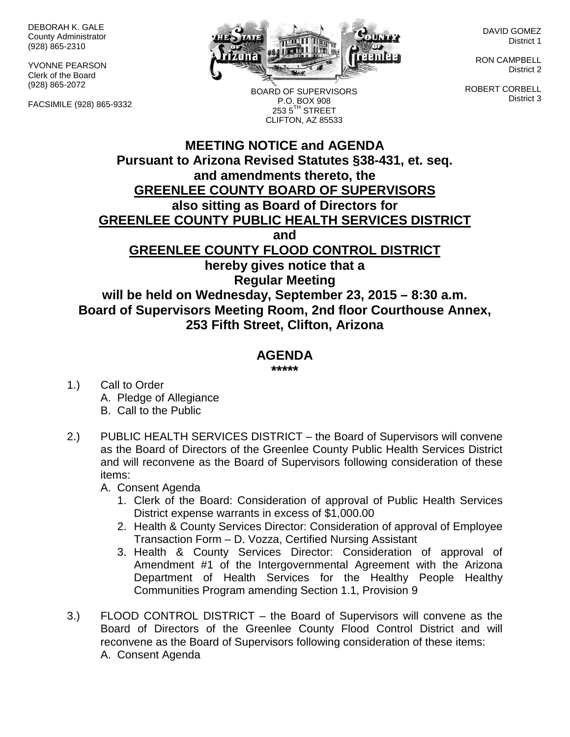DEBORAH K. GALE County Administrator (928) 865-2310

YVONNE PEARSON Clerk of the Board (928) 865-2072

FACSIMILE (928) 865-9332



BOARD OF SUPERVISORS P.O. BOX 908  $2535^{\text{TH}}$  STREET CLIFTON, AZ 85533

DAVID GOMEZ District 1

RON CAMPBELL District 2

ROBERT CORBELL District 3

## **MEETING NOTICE and AGENDA Pursuant to Arizona Revised Statutes §38-431, et. seq. and amendments thereto, the GREENLEE COUNTY BOARD OF SUPERVISORS also sitting as Board of Directors for GREENLEE COUNTY PUBLIC HEALTH SERVICES DISTRICT and GREENLEE COUNTY FLOOD CONTROL DISTRICT hereby gives notice that a Regular Meeting will be held on Wednesday, September 23, 2015 – 8:30 a.m. Board of Supervisors Meeting Room, 2nd floor Courthouse Annex, 253 Fifth Street, Clifton, Arizona**

## **AGENDA**

**\*\*\*\*\***

- 1.) Call to Order A. Pledge of Allegiance B. Call to the Public
- 2.) PUBLIC HEALTH SERVICES DISTRICT the Board of Supervisors will convene as the Board of Directors of the Greenlee County Public Health Services District and will reconvene as the Board of Supervisors following consideration of these items:

A. Consent Agenda

- 1. Clerk of the Board: Consideration of approval of Public Health Services District expense warrants in excess of \$1,000.00
- 2. Health & County Services Director: Consideration of approval of Employee Transaction Form – D. Vozza, Certified Nursing Assistant
- 3. Health & County Services Director: Consideration of approval of Amendment #1 of the Intergovernmental Agreement with the Arizona Department of Health Services for the Healthy People Healthy Communities Program amending Section 1.1, Provision 9
- 3.) FLOOD CONTROL DISTRICT the Board of Supervisors will convene as the Board of Directors of the Greenlee County Flood Control District and will reconvene as the Board of Supervisors following consideration of these items: A. Consent Agenda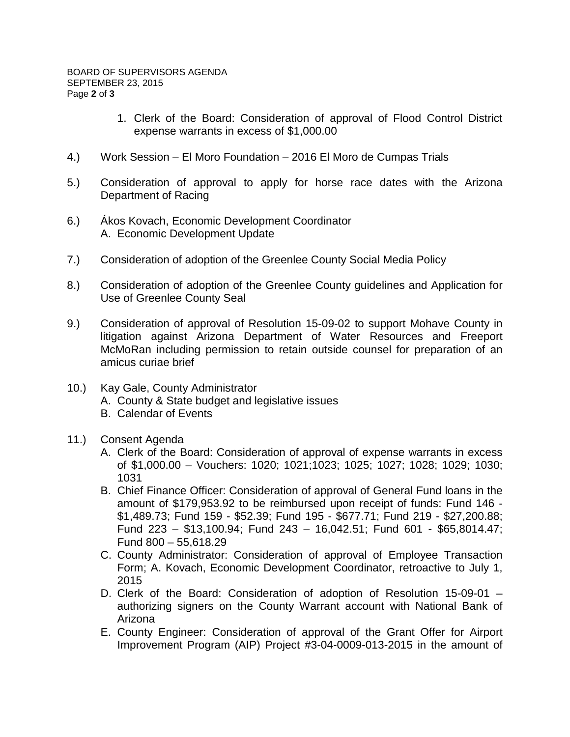- 1. Clerk of the Board: Consideration of approval of Flood Control District expense warrants in excess of \$1,000.00
- 4.) Work Session El Moro Foundation 2016 El Moro de Cumpas Trials
- 5.) Consideration of approval to apply for horse race dates with the Arizona Department of Racing
- 6.) Ákos Kovach, Economic Development Coordinator A. Economic Development Update
- 7.) Consideration of adoption of the Greenlee County Social Media Policy
- 8.) Consideration of adoption of the Greenlee County guidelines and Application for Use of Greenlee County Seal
- 9.) Consideration of approval of Resolution 15-09-02 to support Mohave County in litigation against Arizona Department of Water Resources and Freeport McMoRan including permission to retain outside counsel for preparation of an amicus curiae brief
- 10.) Kay Gale, County Administrator
	- A. County & State budget and legislative issues
	- B. Calendar of Events
- 11.) Consent Agenda
	- A. Clerk of the Board: Consideration of approval of expense warrants in excess of \$1,000.00 – Vouchers: 1020; 1021;1023; 1025; 1027; 1028; 1029; 1030; 1031
	- B. Chief Finance Officer: Consideration of approval of General Fund loans in the amount of \$179,953.92 to be reimbursed upon receipt of funds: Fund 146 - \$1,489.73; Fund 159 - \$52.39; Fund 195 - \$677.71; Fund 219 - \$27,200.88; Fund 223 – \$13,100.94; Fund 243 – 16,042.51; Fund 601 - \$65,8014.47; Fund 800 – 55,618.29
	- C. County Administrator: Consideration of approval of Employee Transaction Form; A. Kovach, Economic Development Coordinator, retroactive to July 1, 2015
	- D. Clerk of the Board: Consideration of adoption of Resolution 15-09-01 authorizing signers on the County Warrant account with National Bank of Arizona
	- E. County Engineer: Consideration of approval of the Grant Offer for Airport Improvement Program (AIP) Project #3-04-0009-013-2015 in the amount of